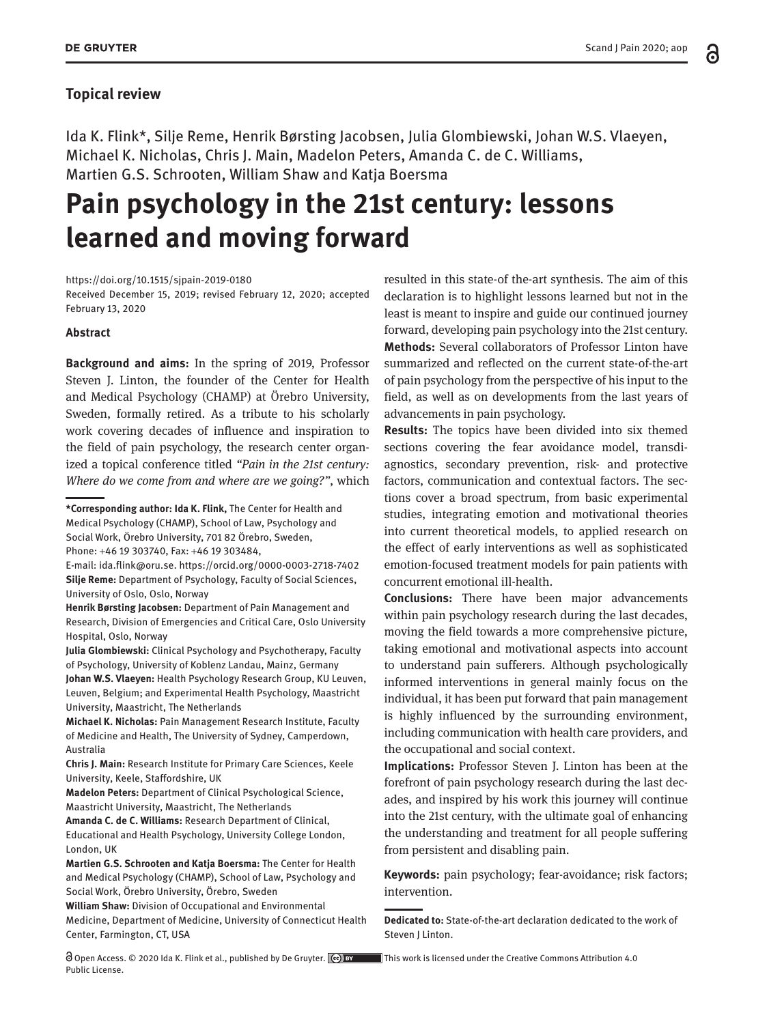### **Topical review**

Ida K. Flink\*, Silje Reme, Henrik Børsting Jacobsen, Julia Glombiewski, Johan W.S. Vlaeyen, Michael K. Nicholas, Chris J. Main, Madelon Peters, Amanda C. de C. Williams, Martien G.S. Schrooten, William Shaw and Katja Boersma

# **Pain psychology in the 21st century: lessons learned and moving forward**

<https://doi.org/10.1515/sjpain-2019-0180>

Received December 15, 2019; revised February 12, 2020; accepted February 13, 2020

#### **Abstract**

**Background and aims:** In the spring of 2019, Professor Steven J. Linton, the founder of the Center for Health and Medical Psychology (CHAMP) at Örebro University, Sweden, formally retired. As a tribute to his scholarly work covering decades of influence and inspiration to the field of pain psychology, the research center organized a topical conference titled *"Pain in the 21st century: Where do we come from and where are we going?"*, which

Phone: +46 19 303740, Fax: +46 19 303484,

E-mail: [ida.flink@oru.se.](mailto:ida.flink@oru.se) <https://orcid.org/0000-0003-2718-7402> **Silje Reme:** Department of Psychology, Faculty of Social Sciences, University of Oslo, Oslo, Norway

**Henrik Børsting Jacobsen:** Department of Pain Management and Research, Division of Emergencies and Critical Care, Oslo University Hospital, Oslo, Norway

**Julia Glombiewski:** Clinical Psychology and Psychotherapy, Faculty of Psychology, University of Koblenz Landau, Mainz, Germany

**Johan W.S. Vlaeyen:** Health Psychology Research Group, KU Leuven, Leuven, Belgium; and Experimental Health Psychology, Maastricht University, Maastricht, The Netherlands

**Michael K. Nicholas:** Pain Management Research Institute, Faculty of Medicine and Health, The University of Sydney, Camperdown, Australia

**Chris J. Main:** Research Institute for Primary Care Sciences, Keele University, Keele, Staffordshire, UK

**Madelon Peters:** Department of Clinical Psychological Science, Maastricht University, Maastricht, The Netherlands

**Amanda C. de C. Williams:** Research Department of Clinical, Educational and Health Psychology, University College London, London, UK

**Martien G.S. Schrooten and Katja Boersma:** The Center for Health and Medical Psychology (CHAMP), School of Law, Psychology and Social Work, Örebro University, Örebro, Sweden

**William Shaw:** Division of Occupational and Environmental Medicine, Department of Medicine, University of Connecticut Health Center, Farmington, CT, USA

 Open Access. © 2020 Ida K. Flink et al., published by De Gruyter. This work is licensed under the Creative Commons Attribution 4.0 Public License.

resulted in this state-of the-art synthesis. The aim of this declaration is to highlight lessons learned but not in the least is meant to inspire and guide our continued journey forward, developing pain psychology into the 21st century. **Methods:** Several collaborators of Professor Linton have summarized and reflected on the current state-of-the-art of pain psychology from the perspective of his input to the field, as well as on developments from the last years of advancements in pain psychology.

**Results:** The topics have been divided into six themed sections covering the fear avoidance model, transdiagnostics, secondary prevention, risk- and protective factors, communication and contextual factors. The sections cover a broad spectrum, from basic experimental studies, integrating emotion and motivational theories into current theoretical models, to applied research on the effect of early interventions as well as sophisticated emotion-focused treatment models for pain patients with concurrent emotional ill-health.

**Conclusions:** There have been major advancements within pain psychology research during the last decades, moving the field towards a more comprehensive picture, taking emotional and motivational aspects into account to understand pain sufferers. Although psychologically informed interventions in general mainly focus on the individual, it has been put forward that pain management is highly influenced by the surrounding environment, including communication with health care providers, and the occupational and social context.

**Implications:** Professor Steven J. Linton has been at the forefront of pain psychology research during the last decades, and inspired by his work this journey will continue into the 21st century, with the ultimate goal of enhancing the understanding and treatment for all people suffering from persistent and disabling pain.

**Keywords:** pain psychology; fear-avoidance; risk factors; intervention.

**Dedicated to:** State-of-the-art declaration dedicated to the work of Steven J Linton.

**<sup>\*</sup>Corresponding author: Ida K. Flink,** The Center for Health and Medical Psychology (CHAMP), School of Law, Psychology and Social Work, Örebro University, 701 82 Örebro, Sweden,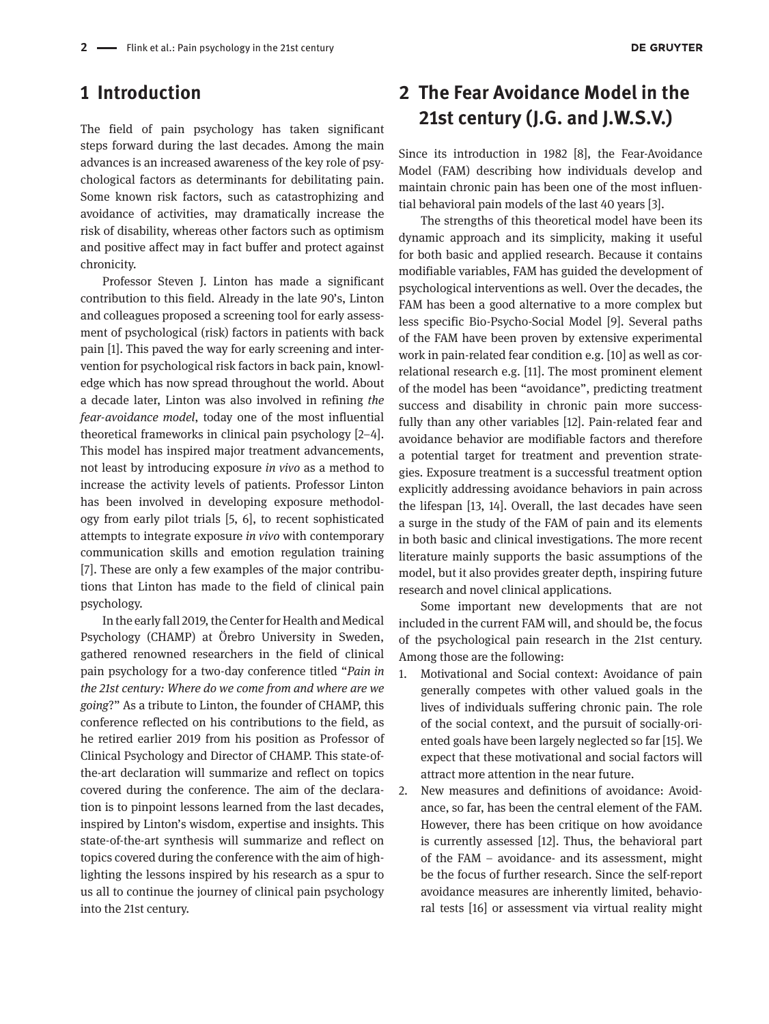### **1 Introduction**

The field of pain psychology has taken significant steps forward during the last decades. Among the main advances is an increased awareness of the key role of psychological factors as determinants for debilitating pain. Some known risk factors, such as catastrophizing and avoidance of activities, may dramatically increase the risk of disability, whereas other factors such as optimism and positive affect may in fact buffer and protect against chronicity.

Professor Steven J. Linton has made a significant contribution to this field. Already in the late 90's, Linton and colleagues proposed a screening tool for early assessment of psychological (risk) factors in patients with back pain [1]. This paved the way for early screening and intervention for psychological risk factors in back pain, knowledge which has now spread throughout the world. About a decade later, Linton was also involved in refining *the fear-avoidance model*, today one of the most influential theoretical frameworks in clinical pain psychology [2–4]. This model has inspired major treatment advancements, not least by introducing exposure *in vivo* as a method to increase the activity levels of patients. Professor Linton has been involved in developing exposure methodology from early pilot trials [5, 6], to recent sophisticated attempts to integrate exposure *in vivo* with contemporary communication skills and emotion regulation training [7]. These are only a few examples of the major contributions that Linton has made to the field of clinical pain psychology.

In the early fall 2019, the Center for Health and Medical Psychology (CHAMP) at Örebro University in Sweden, gathered renowned researchers in the field of clinical pain psychology for a two-day conference titled "*Pain in the 21st century: Where do we come from and where are we going*?" As a tribute to Linton, the founder of CHAMP, this conference reflected on his contributions to the field, as he retired earlier 2019 from his position as Professor of Clinical Psychology and Director of CHAMP. This state-ofthe-art declaration will summarize and reflect on topics covered during the conference. The aim of the declaration is to pinpoint lessons learned from the last decades, inspired by Linton's wisdom, expertise and insights. This state-of-the-art synthesis will summarize and reflect on topics covered during the conference with the aim of highlighting the lessons inspired by his research as a spur to us all to continue the journey of clinical pain psychology into the 21st century.

### **2 The Fear Avoidance Model in the 21st century (J.G. and J.W.S.V.)**

Since its introduction in 1982 [8], the Fear-Avoidance Model (FAM) describing how individuals develop and maintain chronic pain has been one of the most influential behavioral pain models of the last 40 years [3].

The strengths of this theoretical model have been its dynamic approach and its simplicity, making it useful for both basic and applied research. Because it contains modifiable variables, FAM has guided the development of psychological interventions as well. Over the decades, the FAM has been a good alternative to a more complex but less specific Bio-Psycho-Social Model [9]. Several paths of the FAM have been proven by extensive experimental work in pain-related fear condition e.g. [10] as well as correlational research e.g. [11]. The most prominent element of the model has been "avoidance", predicting treatment success and disability in chronic pain more successfully than any other variables [12]. Pain-related fear and avoidance behavior are modifiable factors and therefore a potential target for treatment and prevention strategies. Exposure treatment is a successful treatment option explicitly addressing avoidance behaviors in pain across the lifespan [13, 14]. Overall, the last decades have seen a surge in the study of the FAM of pain and its elements in both basic and clinical investigations. The more recent literature mainly supports the basic assumptions of the model, but it also provides greater depth, inspiring future research and novel clinical applications.

Some important new developments that are not included in the current FAM will, and should be, the focus of the psychological pain research in the 21st century. Among those are the following:

- 1. Motivational and Social context: Avoidance of pain generally competes with other valued goals in the lives of individuals suffering chronic pain. The role of the social context, and the pursuit of socially-oriented goals have been largely neglected so far [15]. We expect that these motivational and social factors will attract more attention in the near future.
- 2. New measures and definitions of avoidance: Avoidance, so far, has been the central element of the FAM. However, there has been critique on how avoidance is currently assessed [12]. Thus, the behavioral part of the FAM – avoidance- and its assessment, might be the focus of further research. Since the self-report avoidance measures are inherently limited, behavioral tests [16] or assessment via virtual reality might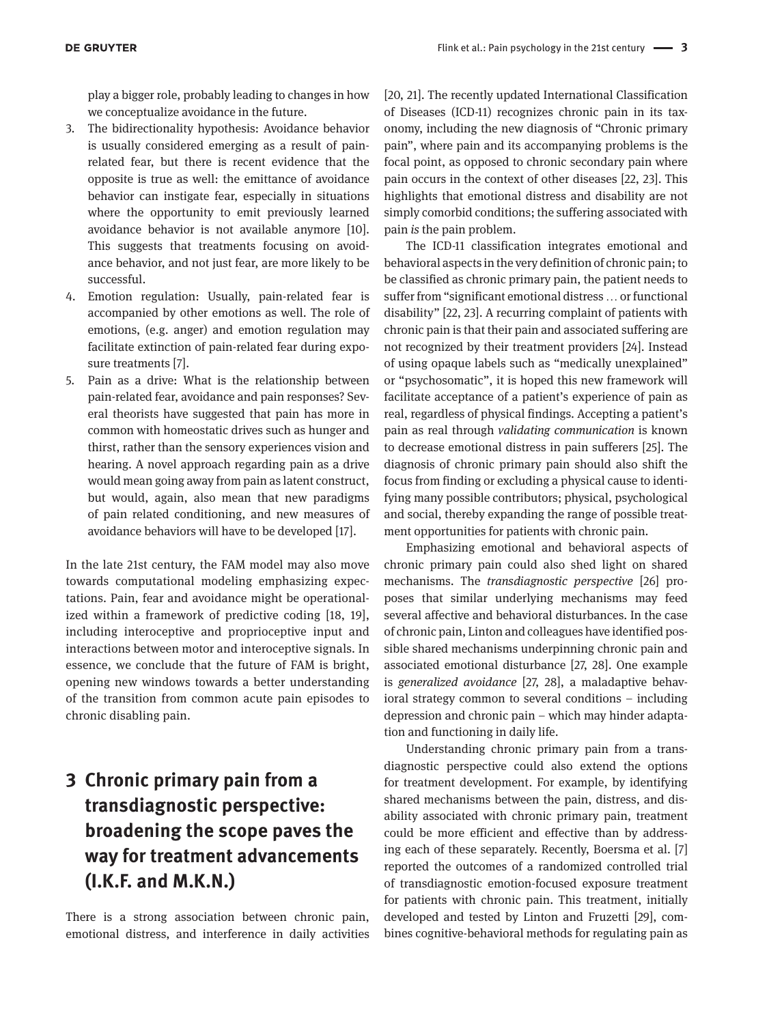play a bigger role, probably leading to changes in how we conceptualize avoidance in the future.

- 3. The bidirectionality hypothesis: Avoidance behavior is usually considered emerging as a result of painrelated fear, but there is recent evidence that the opposite is true as well: the emittance of avoidance behavior can instigate fear, especially in situations where the opportunity to emit previously learned avoidance behavior is not available anymore [10]. This suggests that treatments focusing on avoidance behavior, and not just fear, are more likely to be successful.
- 4. Emotion regulation: Usually, pain-related fear is accompanied by other emotions as well. The role of emotions, (e.g. anger) and emotion regulation may facilitate extinction of pain-related fear during exposure treatments [7].
- 5. Pain as a drive: What is the relationship between pain-related fear, avoidance and pain responses? Several theorists have suggested that pain has more in common with homeostatic drives such as hunger and thirst, rather than the sensory experiences vision and hearing. A novel approach regarding pain as a drive would mean going away from pain as latent construct, but would, again, also mean that new paradigms of pain related conditioning, and new measures of avoidance behaviors will have to be developed [17].

In the late 21st century, the FAM model may also move towards computational modeling emphasizing expectations. Pain, fear and avoidance might be operationalized within a framework of predictive coding [18, 19], including interoceptive and proprioceptive input and interactions between motor and interoceptive signals. In essence, we conclude that the future of FAM is bright, opening new windows towards a better understanding of the transition from common acute pain episodes to chronic disabling pain.

# **3 Chronic primary pain from a transdiagnostic perspective: broadening the scope paves the way for treatment advancements (I.K.F. and M.K.N.)**

There is a strong association between chronic pain, emotional distress, and interference in daily activities

[20, 21]. The recently updated International Classification of Diseases (ICD-11) recognizes chronic pain in its taxonomy, including the new diagnosis of "Chronic primary pain", where pain and its accompanying problems is the focal point, as opposed to chronic secondary pain where pain occurs in the context of other diseases [22, 23]. This highlights that emotional distress and disability are not simply comorbid conditions; the suffering associated with pain *is* the pain problem.

The ICD-11 classification integrates emotional and behavioral aspects in the very definition of chronic pain; to be classified as chronic primary pain, the patient needs to suffer from "significant emotional distress … or functional disability" [22, 23]. A recurring complaint of patients with chronic pain is that their pain and associated suffering are not recognized by their treatment providers [24]. Instead of using opaque labels such as "medically unexplained" or "psychosomatic", it is hoped this new framework will facilitate acceptance of a patient's experience of pain as real, regardless of physical findings. Accepting a patient's pain as real through *validating communication* is known to decrease emotional distress in pain sufferers [25]. The diagnosis of chronic primary pain should also shift the focus from finding or excluding a physical cause to identifying many possible contributors; physical, psychological and social, thereby expanding the range of possible treatment opportunities for patients with chronic pain.

Emphasizing emotional and behavioral aspects of chronic primary pain could also shed light on shared mechanisms. The *transdiagnostic perspective* [26] proposes that similar underlying mechanisms may feed several affective and behavioral disturbances. In the case of chronic pain, Linton and colleagues have identified possible shared mechanisms underpinning chronic pain and associated emotional disturbance [27, 28]. One example is *generalized avoidance* [27, 28], a maladaptive behavioral strategy common to several conditions – including depression and chronic pain – which may hinder adaptation and functioning in daily life.

Understanding chronic primary pain from a transdiagnostic perspective could also extend the options for treatment development. For example, by identifying shared mechanisms between the pain, distress, and disability associated with chronic primary pain, treatment could be more efficient and effective than by addressing each of these separately. Recently, Boersma et al. [7] reported the outcomes of a randomized controlled trial of transdiagnostic emotion-focused exposure treatment for patients with chronic pain. This treatment, initially developed and tested by Linton and Fruzetti [29], combines cognitive-behavioral methods for regulating pain as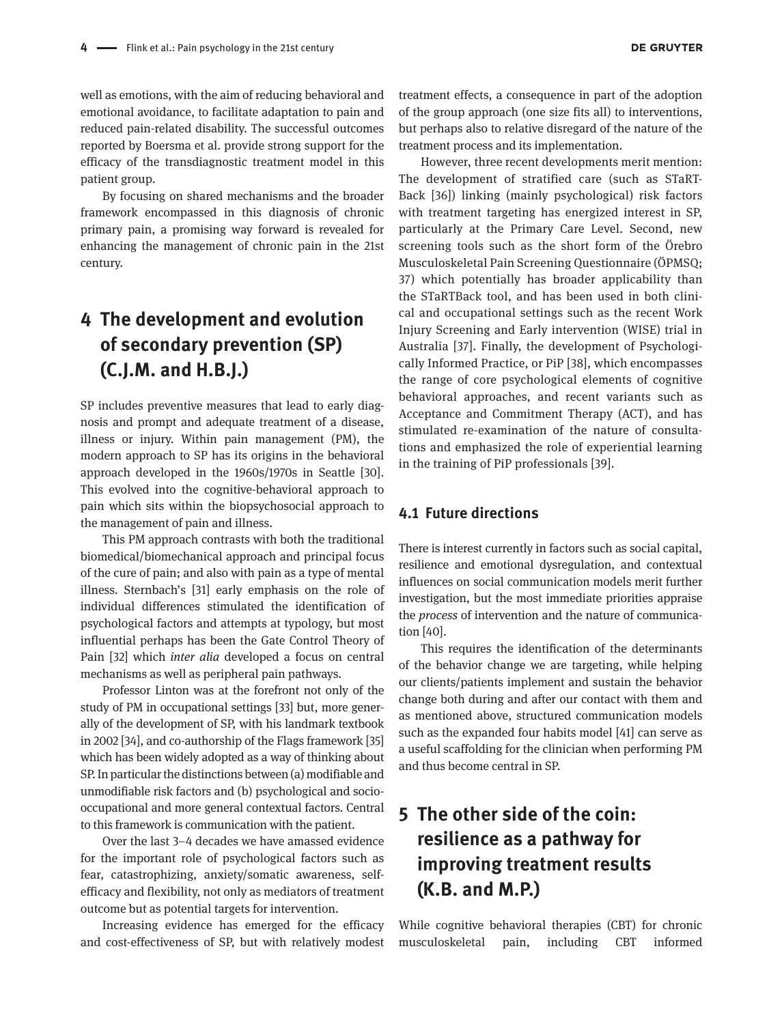well as emotions, with the aim of reducing behavioral and emotional avoidance, to facilitate adaptation to pain and reduced pain-related disability. The successful outcomes reported by Boersma et al. provide strong support for the efficacy of the transdiagnostic treatment model in this patient group.

By focusing on shared mechanisms and the broader framework encompassed in this diagnosis of chronic primary pain, a promising way forward is revealed for enhancing the management of chronic pain in the 21st century.

### **4 The development and evolution of secondary prevention (SP) (C.J.M. and H.B.J.)**

SP includes preventive measures that lead to early diagnosis and prompt and adequate treatment of a disease, illness or injury. Within pain management (PM), the modern approach to SP has its origins in the behavioral approach developed in the 1960s/1970s in Seattle [30]. This evolved into the cognitive-behavioral approach to pain which sits within the biopsychosocial approach to the management of pain and illness.

This PM approach contrasts with both the traditional biomedical/biomechanical approach and principal focus of the cure of pain; and also with pain as a type of mental illness. Sternbach's [31] early emphasis on the role of individual differences stimulated the identification of psychological factors and attempts at typology, but most influential perhaps has been the Gate Control Theory of Pain [32] which *inter alia* developed a focus on central mechanisms as well as peripheral pain pathways.

Professor Linton was at the forefront not only of the study of PM in occupational settings [33] but, more generally of the development of SP, with his landmark textbook in 2002 [34], and co-authorship of the Flags framework [35] which has been widely adopted as a way of thinking about SP. In particular the distinctions between (a) modifiable and unmodifiable risk factors and (b) psychological and sociooccupational and more general contextual factors. Central to this framework is communication with the patient.

Over the last 3–4 decades we have amassed evidence for the important role of psychological factors such as fear, catastrophizing, anxiety/somatic awareness, selfefficacy and flexibility, not only as mediators of treatment outcome but as potential targets for intervention.

Increasing evidence has emerged for the efficacy and cost-effectiveness of SP, but with relatively modest

treatment effects, a consequence in part of the adoption of the group approach (one size fits all) to interventions, but perhaps also to relative disregard of the nature of the treatment process and its implementation.

However, three recent developments merit mention: The development of stratified care (such as STaRT-Back [36]) linking (mainly psychological) risk factors with treatment targeting has energized interest in SP, particularly at the Primary Care Level. Second, new screening tools such as the short form of the Örebro Musculoskeletal Pain Screening Questionnaire (ÖPMSQ; 37) which potentially has broader applicability than the STaRTBack tool, and has been used in both clinical and occupational settings such as the recent Work Injury Screening and Early intervention (WISE) trial in Australia [37]. Finally, the development of Psychologically Informed Practice, or PiP [38], which encompasses the range of core psychological elements of cognitive behavioral approaches, and recent variants such as Acceptance and Commitment Therapy (ACT), and has stimulated re-examination of the nature of consultations and emphasized the role of experiential learning in the training of PiP professionals [39].

#### **4.1 Future directions**

There is interest currently in factors such as social capital, resilience and emotional dysregulation, and contextual influences on social communication models merit further investigation, but the most immediate priorities appraise the *process* of intervention and the nature of communication [40].

This requires the identification of the determinants of the behavior change we are targeting, while helping our clients/patients implement and sustain the behavior change both during and after our contact with them and as mentioned above, structured communication models such as the expanded four habits model [41] can serve as a useful scaffolding for the clinician when performing PM and thus become central in SP.

# **5 The other side of the coin: resilience as a pathway for improving treatment results (K.B. and M.P.)**

While cognitive behavioral therapies (CBT) for chronic musculoskeletal pain, including CBT informed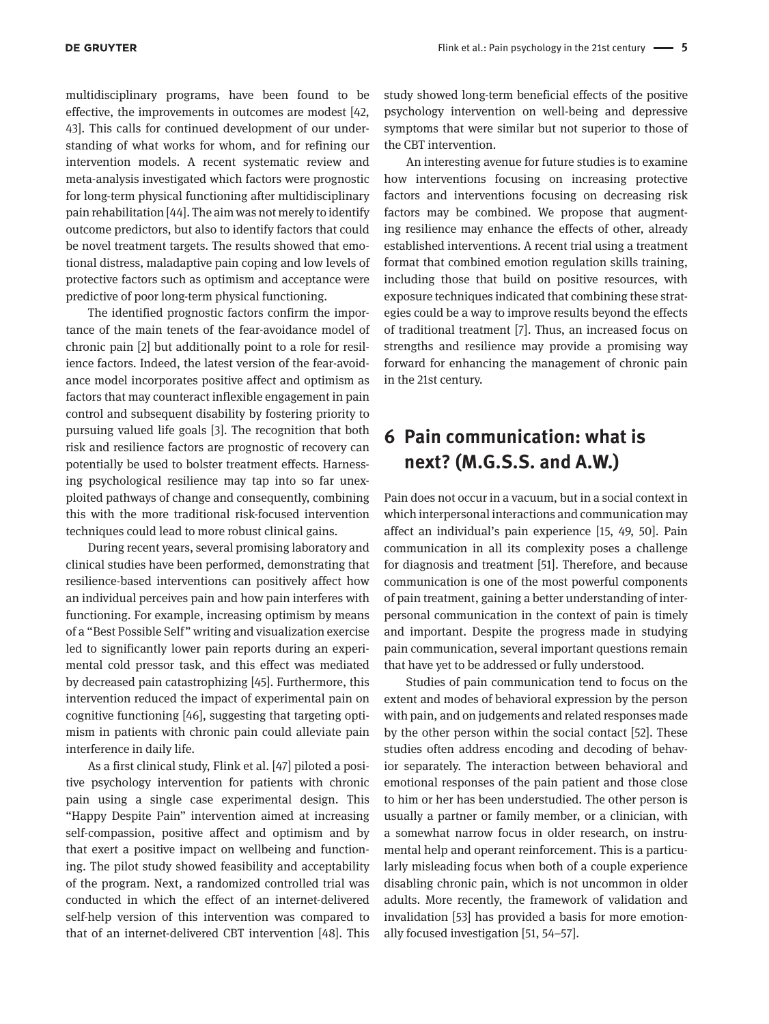multidisciplinary programs, have been found to be effective, the improvements in outcomes are modest [42, 43]. This calls for continued development of our understanding of what works for whom, and for refining our intervention models. A recent systematic review and meta-analysis investigated which factors were prognostic for long-term physical functioning after multidisciplinary pain rehabilitation [44]. The aim was not merely to identify outcome predictors, but also to identify factors that could be novel treatment targets. The results showed that emotional distress, maladaptive pain coping and low levels of protective factors such as optimism and acceptance were predictive of poor long-term physical functioning.

The identified prognostic factors confirm the importance of the main tenets of the fear-avoidance model of chronic pain [2] but additionally point to a role for resilience factors. Indeed, the latest version of the fear-avoidance model incorporates positive affect and optimism as factors that may counteract inflexible engagement in pain control and subsequent disability by fostering priority to pursuing valued life goals [3]. The recognition that both risk and resilience factors are prognostic of recovery can potentially be used to bolster treatment effects. Harnessing psychological resilience may tap into so far unexploited pathways of change and consequently, combining this with the more traditional risk-focused intervention techniques could lead to more robust clinical gains.

During recent years, several promising laboratory and clinical studies have been performed, demonstrating that resilience-based interventions can positively affect how an individual perceives pain and how pain interferes with functioning. For example, increasing optimism by means of a "Best Possible Self" writing and visualization exercise led to significantly lower pain reports during an experimental cold pressor task, and this effect was mediated by decreased pain catastrophizing [45]. Furthermore, this intervention reduced the impact of experimental pain on cognitive functioning [46], suggesting that targeting optimism in patients with chronic pain could alleviate pain interference in daily life.

As a first clinical study, Flink et al. [47] piloted a positive psychology intervention for patients with chronic pain using a single case experimental design. This "Happy Despite Pain" intervention aimed at increasing self-compassion, positive affect and optimism and by that exert a positive impact on wellbeing and functioning. The pilot study showed feasibility and acceptability of the program. Next, a randomized controlled trial was conducted in which the effect of an internet-delivered self-help version of this intervention was compared to that of an internet-delivered CBT intervention [48]. This

study showed long-term beneficial effects of the positive psychology intervention on well-being and depressive symptoms that were similar but not superior to those of the CBT intervention.

An interesting avenue for future studies is to examine how interventions focusing on increasing protective factors and interventions focusing on decreasing risk factors may be combined. We propose that augmenting resilience may enhance the effects of other, already established interventions. A recent trial using a treatment format that combined emotion regulation skills training, including those that build on positive resources, with exposure techniques indicated that combining these strategies could be a way to improve results beyond the effects of traditional treatment [7]. Thus, an increased focus on strengths and resilience may provide a promising way forward for enhancing the management of chronic pain in the 21st century.

### **6 Pain communication: what is next? (M.G.S.S. and A.W.)**

Pain does not occur in a vacuum, but in a social context in which interpersonal interactions and communication may affect an individual's pain experience [15, 49, 50]. Pain communication in all its complexity poses a challenge for diagnosis and treatment [51]. Therefore, and because communication is one of the most powerful components of pain treatment, gaining a better understanding of interpersonal communication in the context of pain is timely and important. Despite the progress made in studying pain communication, several important questions remain that have yet to be addressed or fully understood.

Studies of pain communication tend to focus on the extent and modes of behavioral expression by the person with pain, and on judgements and related responses made by the other person within the social contact [52]. These studies often address encoding and decoding of behavior separately. The interaction between behavioral and emotional responses of the pain patient and those close to him or her has been understudied. The other person is usually a partner or family member, or a clinician, with a somewhat narrow focus in older research, on instrumental help and operant reinforcement. This is a particularly misleading focus when both of a couple experience disabling chronic pain, which is not uncommon in older adults. More recently, the framework of validation and invalidation [53] has provided a basis for more emotionally focused investigation [51, 54–57].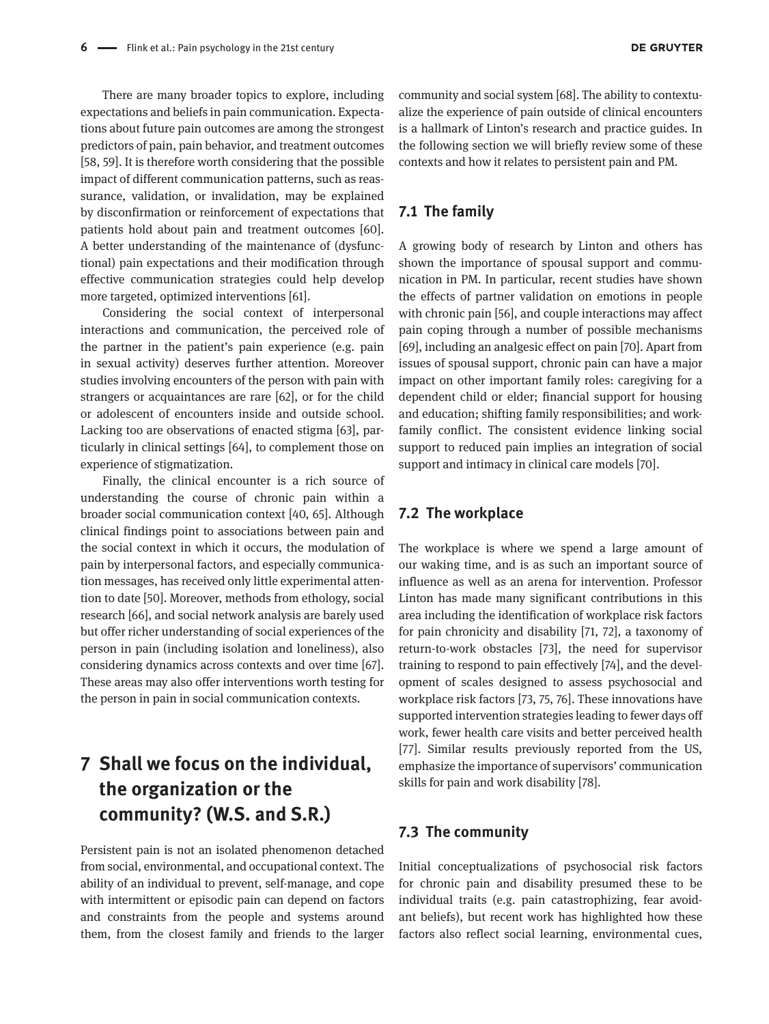There are many broader topics to explore, including expectations and beliefs in pain communication. Expectations about future pain outcomes are among the strongest predictors of pain, pain behavior, and treatment outcomes [58, 59]. It is therefore worth considering that the possible impact of different communication patterns, such as reassurance, validation, or invalidation, may be explained by disconfirmation or reinforcement of expectations that patients hold about pain and treatment outcomes [60]. A better understanding of the maintenance of (dysfunctional) pain expectations and their modification through effective communication strategies could help develop more targeted, optimized interventions [61].

Considering the social context of interpersonal interactions and communication, the perceived role of the partner in the patient's pain experience (e.g. pain in sexual activity) deserves further attention. Moreover studies involving encounters of the person with pain with strangers or acquaintances are rare [62], or for the child or adolescent of encounters inside and outside school. Lacking too are observations of enacted stigma [63], particularly in clinical settings [64], to complement those on experience of stigmatization.

Finally, the clinical encounter is a rich source of understanding the course of chronic pain within a broader social communication context [40, 65]. Although clinical findings point to associations between pain and the social context in which it occurs, the modulation of pain by interpersonal factors, and especially communication messages, has received only little experimental attention to date [50]. Moreover, methods from ethology, social research [66], and social network analysis are barely used but offer richer understanding of social experiences of the person in pain (including isolation and loneliness), also considering dynamics across contexts and over time [67]. These areas may also offer interventions worth testing for the person in pain in social communication contexts.

## **7 Shall we focus on the individual, the organization or the community? (W.S. and S.R.)**

Persistent pain is not an isolated phenomenon detached from social, environmental, and occupational context. The ability of an individual to prevent, self-manage, and cope with intermittent or episodic pain can depend on factors and constraints from the people and systems around them, from the closest family and friends to the larger community and social system [68]. The ability to contextualize the experience of pain outside of clinical encounters is a hallmark of Linton's research and practice guides. In the following section we will briefly review some of these contexts and how it relates to persistent pain and PM.

#### **7.1 The family**

A growing body of research by Linton and others has shown the importance of spousal support and communication in PM. In particular, recent studies have shown the effects of partner validation on emotions in people with chronic pain [56], and couple interactions may affect pain coping through a number of possible mechanisms [69], including an analgesic effect on pain [70]. Apart from issues of spousal support, chronic pain can have a major impact on other important family roles: caregiving for a dependent child or elder; financial support for housing and education; shifting family responsibilities; and workfamily conflict. The consistent evidence linking social support to reduced pain implies an integration of social support and intimacy in clinical care models [70].

#### **7.2 The workplace**

The workplace is where we spend a large amount of our waking time, and is as such an important source of influence as well as an arena for intervention. Professor Linton has made many significant contributions in this area including the identification of workplace risk factors for pain chronicity and disability [71, 72], a taxonomy of return-to-work obstacles [73], the need for supervisor training to respond to pain effectively [74], and the development of scales designed to assess psychosocial and workplace risk factors [73, 75, 76]. These innovations have supported intervention strategies leading to fewer days off work, fewer health care visits and better perceived health [77]. Similar results previously reported from the US, emphasize the importance of supervisors' communication skills for pain and work disability [78].

#### **7.3 The community**

Initial conceptualizations of psychosocial risk factors for chronic pain and disability presumed these to be individual traits (e.g. pain catastrophizing, fear avoidant beliefs), but recent work has highlighted how these factors also reflect social learning, environmental cues,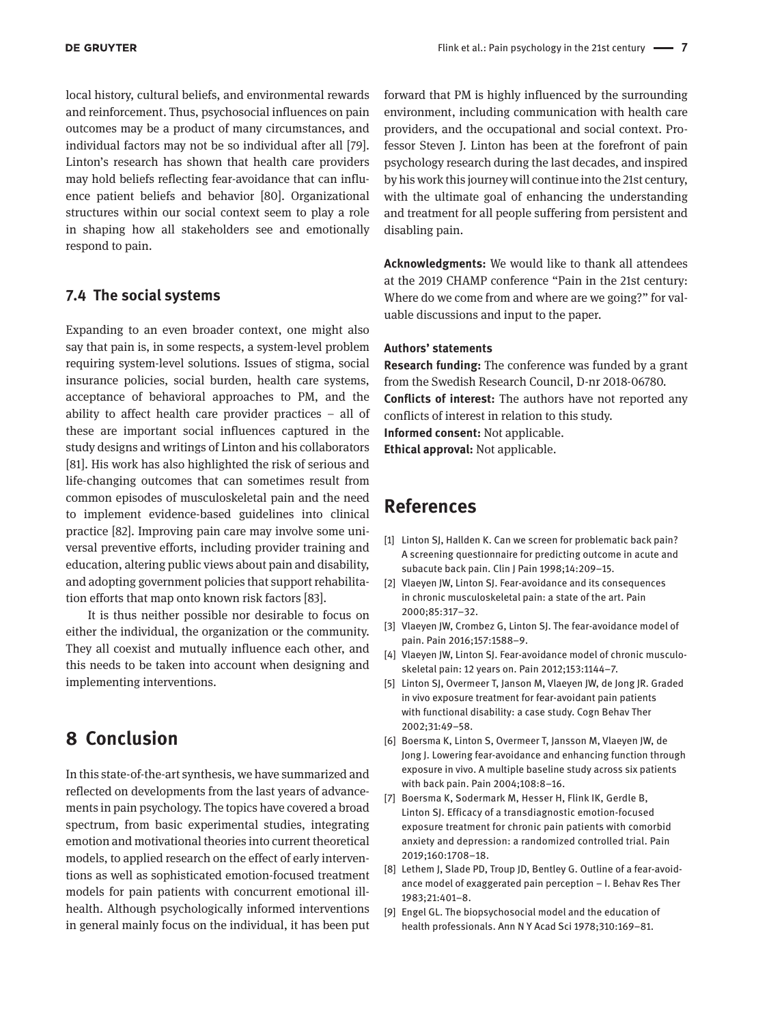local history, cultural beliefs, and environmental rewards and reinforcement. Thus, psychosocial influences on pain outcomes may be a product of many circumstances, and individual factors may not be so individual after all [79]. Linton's research has shown that health care providers may hold beliefs reflecting fear-avoidance that can influence patient beliefs and behavior [80]. Organizational structures within our social context seem to play a role in shaping how all stakeholders see and emotionally respond to pain.

### **7.4 The social systems**

Expanding to an even broader context, one might also say that pain is, in some respects, a system-level problem requiring system-level solutions. Issues of stigma, social insurance policies, social burden, health care systems, acceptance of behavioral approaches to PM, and the ability to affect health care provider practices – all of these are important social influences captured in the study designs and writings of Linton and his collaborators [81]. His work has also highlighted the risk of serious and life-changing outcomes that can sometimes result from common episodes of musculoskeletal pain and the need to implement evidence-based guidelines into clinical practice [82]. Improving pain care may involve some universal preventive efforts, including provider training and education, altering public views about pain and disability, and adopting government policies that support rehabilitation efforts that map onto known risk factors [83].

It is thus neither possible nor desirable to focus on either the individual, the organization or the community. They all coexist and mutually influence each other, and this needs to be taken into account when designing and implementing interventions.

### **8 Conclusion**

In this state-of-the-art synthesis, we have summarized and reflected on developments from the last years of advancements in pain psychology. The topics have covered a broad spectrum, from basic experimental studies, integrating emotion and motivational theories into current theoretical models, to applied research on the effect of early interventions as well as sophisticated emotion-focused treatment models for pain patients with concurrent emotional illhealth. Although psychologically informed interventions in general mainly focus on the individual, it has been put

forward that PM is highly influenced by the surrounding environment, including communication with health care providers, and the occupational and social context. Professor Steven J. Linton has been at the forefront of pain psychology research during the last decades, and inspired by his work this journey will continue into the 21st century, with the ultimate goal of enhancing the understanding and treatment for all people suffering from persistent and disabling pain.

**Acknowledgments:** We would like to thank all attendees at the 2019 CHAMP conference "Pain in the 21st century: Where do we come from and where are we going?" for valuable discussions and input to the paper.

#### **Authors' statements**

**Research funding:** The conference was funded by a grant from the Swedish Research Council, D-nr 2018-06780. **Conflicts of interest:** The authors have not reported any conflicts of interest in relation to this study. **Informed consent:** Not applicable. **Ethical approval:** Not applicable.

### **References**

- [1] Linton SJ, Hallden K. Can we screen for problematic back pain? A screening questionnaire for predicting outcome in acute and subacute back pain. Clin J Pain 1998;14:209–15.
- [2] Vlaeyen JW, Linton SJ. Fear-avoidance and its consequences in chronic musculoskeletal pain: a state of the art. Pain 2000;85:317–32.
- [3] Vlaeyen JW, Crombez G, Linton SJ. The fear-avoidance model of pain. Pain 2016;157:1588–9.
- [4] Vlaeyen JW, Linton SJ. Fear-avoidance model of chronic musculoskeletal pain: 12 years on. Pain 2012;153:1144–7.
- [5] Linton SJ, Overmeer T, Janson M, Vlaeyen JW, de Jong JR. Graded in vivo exposure treatment for fear-avoidant pain patients with functional disability: a case study. Cogn Behav Ther 2002;31:49–58.
- [6] Boersma K, Linton S, Overmeer T, Jansson M, Vlaeyen JW, de Jong J. Lowering fear-avoidance and enhancing function through exposure in vivo. A multiple baseline study across six patients with back pain. Pain 2004;108:8–16.
- [7] Boersma K, Sodermark M, Hesser H, Flink IK, Gerdle B, Linton SJ. Efficacy of a transdiagnostic emotion-focused exposure treatment for chronic pain patients with comorbid anxiety and depression: a randomized controlled trial. Pain 2019;160:1708–18.
- [8] Lethem J, Slade PD, Troup JD, Bentley G. Outline of a fear-avoidance model of exaggerated pain perception – I. Behav Res Ther 1983;21:401–8.
- [9] Engel GL. The biopsychosocial model and the education of health professionals. Ann N Y Acad Sci 1978;310:169–81.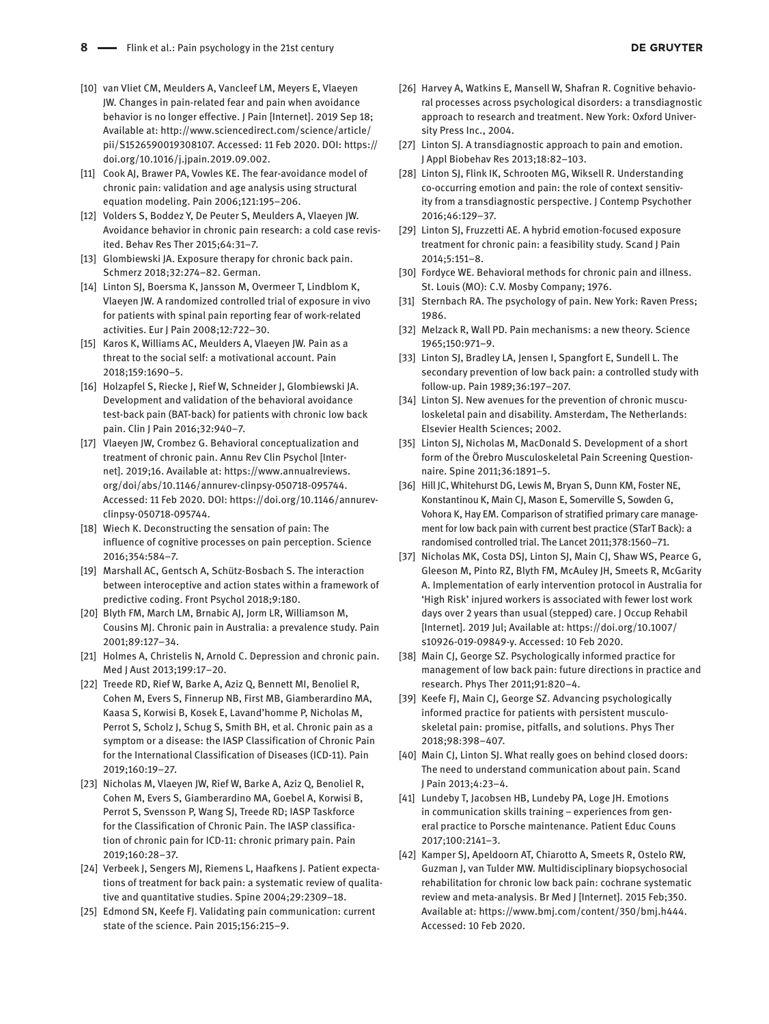- [10] van Vliet CM, Meulders A, Vancleef LM, Meyers E, Vlaeyen JW. Changes in pain-related fear and pain when avoidance behavior is no longer effective. J Pain [Internet]. 2019 Sep 18; Available at: [http://www.sciencedirect.com/science/article/](http://www.sciencedirect.com/science/article/pii/S1526590019308107) [pii/S1526590019308107](http://www.sciencedirect.com/science/article/pii/S1526590019308107). Accessed: 11 Feb 2020. DOI: [https://](https://doi.org/10.1016/j.jpain.2019.09.002) [doi.org/10.1016/j.jpain.2019.09.002](https://doi.org/10.1016/j.jpain.2019.09.002).
- [11] Cook AJ, Brawer PA, Vowles KE. The fear-avoidance model of chronic pain: validation and age analysis using structural equation modeling. Pain 2006;121:195–206.
- [12] Volders S, Boddez Y, De Peuter S, Meulders A, Vlaeyen JW. Avoidance behavior in chronic pain research: a cold case revisited. Behav Res Ther 2015;64:31–7.
- [13] Glombiewski JA. Exposure therapy for chronic back pain. Schmerz 2018;32:274–82. German.
- [14] Linton SJ, Boersma K, Jansson M, Overmeer T, Lindblom K, Vlaeyen JW. A randomized controlled trial of exposure in vivo for patients with spinal pain reporting fear of work-related activities. Eur J Pain 2008;12:722–30.
- [15] Karos K, Williams AC, Meulders A, Vlaeven JW. Pain as a threat to the social self: a motivational account. Pain 2018;159:1690–5.
- [16] Holzapfel S, Riecke J, Rief W, Schneider J, Glombiewski JA. Development and validation of the behavioral avoidance test-back pain (BAT-back) for patients with chronic low back pain. Clin J Pain 2016;32:940–7.
- [17] Vlaeyen JW, Crombez G. Behavioral conceptualization and treatment of chronic pain. Annu Rev Clin Psychol [Internet]. 2019;16. Available at: [https://www.annualreviews.](https://www.annualreviews.org/doi/abs/10.1146/annurev-clinpsy-050718-095744) [org/doi/abs/10.1146/annurev-clinpsy-050718-095744.](https://www.annualreviews.org/doi/abs/10.1146/annurev-clinpsy-050718-095744) Accessed: 11 Feb 2020. DOI: [https://doi.org/10.1146/annurev](https://doi.org/10.1146/annurev-clinpsy-050718-095744)[clinpsy-050718-095744.](https://doi.org/10.1146/annurev-clinpsy-050718-095744)
- [18] Wiech K. Deconstructing the sensation of pain: The influence of cognitive processes on pain perception. Science 2016;354:584–7.
- [19] Marshall AC, Gentsch A, Schütz-Bosbach S. The interaction between interoceptive and action states within a framework of predictive coding. Front Psychol 2018;9:180.
- [20] Blyth FM, March LM, Brnabic AJ, Jorm LR, Williamson M, Cousins MJ. Chronic pain in Australia: a prevalence study. Pain 2001;89:127–34.
- [21] Holmes A, Christelis N, Arnold C. Depression and chronic pain. Med J Aust 2013;199:17–20.
- [22] Treede RD, Rief W, Barke A, Aziz Q, Bennett MI, Benoliel R, Cohen M, Evers S, Finnerup NB, First MB, Giamberardino MA, Kaasa S, Korwisi B, Kosek E, Lavand'homme P, Nicholas M, Perrot S, Scholz J, Schug S, Smith BH, et al. Chronic pain as a symptom or a disease: the IASP Classification of Chronic Pain for the International Classification of Diseases (ICD-11). Pain 2019;160:19–27.
- [23] Nicholas M, Vlaeyen JW, Rief W, Barke A, Aziz Q, Benoliel R, Cohen M, Evers S, Giamberardino MA, Goebel A, Korwisi B, Perrot S, Svensson P, Wang SJ, Treede RD; IASP Taskforce for the Classification of Chronic Pain. The IASP classification of chronic pain for ICD-11: chronic primary pain. Pain 2019;160:28–37.
- [24] Verbeek J, Sengers MJ, Riemens L, Haafkens J. Patient expectations of treatment for back pain: a systematic review of qualitative and quantitative studies. Spine 2004;29:2309–18.
- [25] Edmond SN, Keefe FJ. Validating pain communication: current state of the science. Pain 2015;156:215–9.
- [26] Harvey A, Watkins E, Mansell W, Shafran R. Cognitive behavioral processes across psychological disorders: a transdiagnostic approach to research and treatment. New York: Oxford University Press Inc., 2004.
- [27] Linton SJ. A transdiagnostic approach to pain and emotion. J Appl Biobehav Res 2013;18:82–103.
- [28] Linton SJ, Flink IK, Schrooten MG, Wiksell R. Understanding co-occurring emotion and pain: the role of context sensitivity from a transdiagnostic perspective. J Contemp Psychother 2016;46:129–37.
- [29] Linton SJ, Fruzzetti AE. A hybrid emotion-focused exposure treatment for chronic pain: a feasibility study. Scand J Pain 2014;5:151–8.
- [30] Fordyce WE. Behavioral methods for chronic pain and illness. St. Louis (MO): C.V. Mosby Company; 1976.
- [31] Sternbach RA. The psychology of pain. New York: Raven Press; 1986.
- [32] Melzack R, Wall PD. Pain mechanisms: a new theory. Science 1965;150:971–9.
- [33] Linton SJ, Bradley LA, Jensen I, Spangfort E, Sundell L. The secondary prevention of low back pain: a controlled study with follow-up. Pain 1989;36:197–207.
- [34] Linton SJ. New avenues for the prevention of chronic musculoskeletal pain and disability. Amsterdam, The Netherlands: Elsevier Health Sciences; 2002.
- [35] Linton SJ, Nicholas M, MacDonald S. Development of a short form of the Örebro Musculoskeletal Pain Screening Questionnaire. Spine 2011;36:1891–5.
- [36] Hill JC, Whitehurst DG, Lewis M, Bryan S, Dunn KM, Foster NE, Konstantinou K, Main CJ, Mason E, Somerville S, Sowden G, Vohora K, Hay EM. Comparison of stratified primary care management for low back pain with current best practice (STarT Back): a randomised controlled trial. The Lancet 2011;378:1560–71.
- [37] Nicholas MK, Costa DSJ, Linton SJ, Main CJ, Shaw WS, Pearce G, Gleeson M, Pinto RZ, Blyth FM, McAuley JH, Smeets R, McGarity A. Implementation of early intervention protocol in Australia for 'High Risk' injured workers is associated with fewer lost work days over 2 years than usual (stepped) care. J Occup Rehabil [Internet]. 2019 Jul; Available at: [https://doi.org/10.1007/](https://doi.org/10.1007/s10926-019-09849-y) [s10926-019-09849-y](https://doi.org/10.1007/s10926-019-09849-y). Accessed: 10 Feb 2020.
- [38] Main CJ, George SZ. Psychologically informed practice for management of low back pain: future directions in practice and research. Phys Ther 2011;91:820–4.
- [39] Keefe FJ, Main CJ, George SZ. Advancing psychologically informed practice for patients with persistent musculoskeletal pain: promise, pitfalls, and solutions. Phys Ther 2018;98:398–407.
- [40] Main CJ, Linton SJ. What really goes on behind closed doors: The need to understand communication about pain. Scand J Pain 2013;4:23–4.
- [41] Lundeby T, Jacobsen HB, Lundeby PA, Loge JH. Emotions in communication skills training − experiences from general practice to Porsche maintenance. Patient Educ Couns 2017;100:2141–3.
- [42] Kamper SJ, Apeldoorn AT, Chiarotto A, Smeets R, Ostelo RW, Guzman J, van Tulder MW. Multidisciplinary biopsychosocial rehabilitation for chronic low back pain: cochrane systematic review and meta-analysis. Br Med J [Internet]. 2015 Feb;350. Available at:<https://www.bmj.com/content/350/bmj.h444>. Accessed: 10 Feb 2020.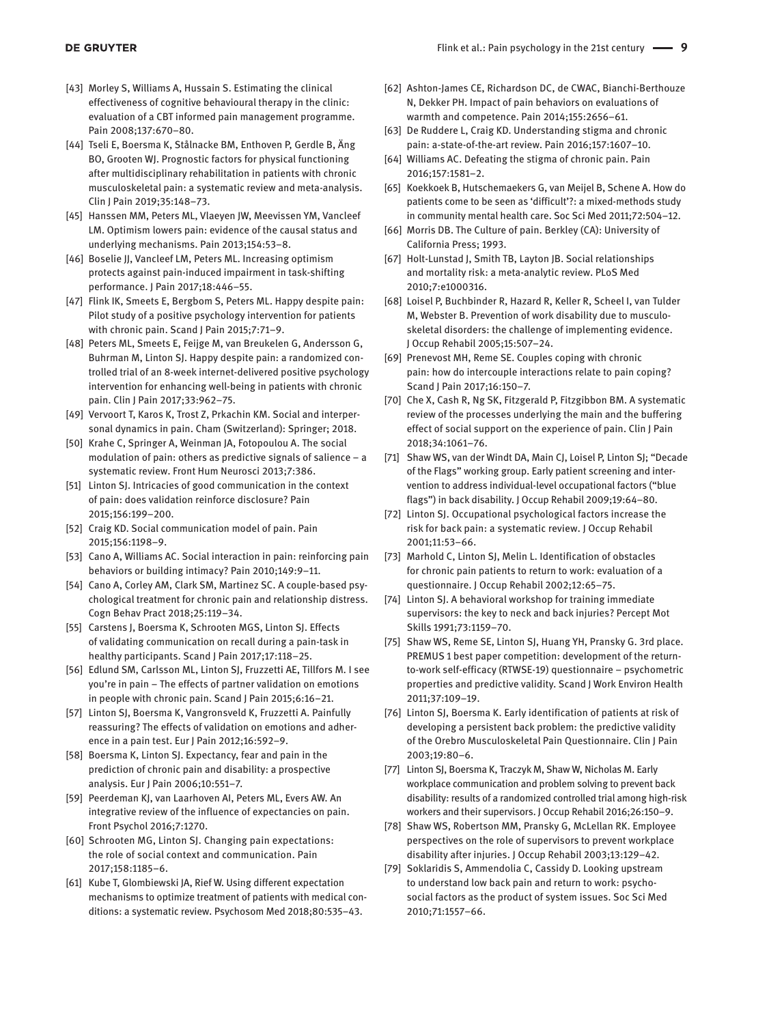- [43] Morley S, Williams A, Hussain S. Estimating the clinical effectiveness of cognitive behavioural therapy in the clinic: evaluation of a CBT informed pain management programme. Pain 2008;137:670–80.
- [44] Tseli E, Boersma K, Stålnacke BM, Enthoven P, Gerdle B, Äng BO, Grooten WJ. Prognostic factors for physical functioning after multidisciplinary rehabilitation in patients with chronic musculoskeletal pain: a systematic review and meta-analysis. Clin J Pain 2019;35:148–73.
- [45] Hanssen MM, Peters ML, Vlaeyen JW, Meevissen YM, Vancleef LM. Optimism lowers pain: evidence of the causal status and underlying mechanisms. Pain 2013;154:53–8.
- [46] Boselie JJ, Vancleef LM, Peters ML. Increasing optimism protects against pain-induced impairment in task-shifting performance. J Pain 2017;18:446–55.
- [47] Flink IK, Smeets E, Bergbom S, Peters ML. Happy despite pain: Pilot study of a positive psychology intervention for patients with chronic pain. Scand J Pain 2015;7:71–9.
- [48] Peters ML, Smeets E, Feijge M, van Breukelen G, Andersson G, Buhrman M, Linton SJ. Happy despite pain: a randomized controlled trial of an 8-week internet-delivered positive psychology intervention for enhancing well-being in patients with chronic pain. Clin J Pain 2017;33:962–75.
- [49] Vervoort T, Karos K, Trost Z, Prkachin KM. Social and interpersonal dynamics in pain. Cham (Switzerland): Springer; 2018.
- [50] Krahe C, Springer A, Weinman JA, Fotopoulou A. The social modulation of pain: others as predictive signals of salience – a systematic review. Front Hum Neurosci 2013;7:386.
- [51] Linton SJ. Intricacies of good communication in the context of pain: does validation reinforce disclosure? Pain 2015;156:199–200.
- [52] Craig KD. Social communication model of pain. Pain 2015;156:1198–9.
- [53] Cano A, Williams AC. Social interaction in pain: reinforcing pain behaviors or building intimacy? Pain 2010;149:9–11.
- [54] Cano A, Corley AM, Clark SM, Martinez SC. A couple-based psychological treatment for chronic pain and relationship distress. Cogn Behav Pract 2018;25:119–34.
- [55] Carstens J, Boersma K, Schrooten MGS, Linton SJ. Effects of validating communication on recall during a pain-task in healthy participants. Scand J Pain 2017;17:118–25.
- [56] Edlund SM, Carlsson ML, Linton SJ, Fruzzetti AE, Tillfors M. I see you're in pain – The effects of partner validation on emotions in people with chronic pain. Scand J Pain 2015;6:16–21.
- [57] Linton SJ, Boersma K, Vangronsveld K, Fruzzetti A. Painfully reassuring? The effects of validation on emotions and adherence in a pain test. Eur J Pain 2012;16:592–9.
- [58] Boersma K, Linton SJ. Expectancy, fear and pain in the prediction of chronic pain and disability: a prospective analysis. Eur J Pain 2006;10:551–7.
- [59] Peerdeman KJ, van Laarhoven AI, Peters ML, Evers AW. An integrative review of the influence of expectancies on pain. Front Psychol 2016;7:1270.
- [60] Schrooten MG, Linton SJ. Changing pain expectations: the role of social context and communication. Pain 2017;158:1185–6.
- [61] Kube T, Glombiewski JA, Rief W. Using different expectation mechanisms to optimize treatment of patients with medical conditions: a systematic review. Psychosom Med 2018;80:535–43.
- [62] Ashton-James CE, Richardson DC, de CWAC, Bianchi-Berthouze N, Dekker PH. Impact of pain behaviors on evaluations of warmth and competence. Pain 2014;155:2656–61.
- [63] De Ruddere L, Craig KD. Understanding stigma and chronic pain: a-state-of-the-art review. Pain 2016;157:1607–10.
- [64] Williams AC. Defeating the stigma of chronic pain. Pain 2016;157:1581–2.
- [65] Koekkoek B, Hutschemaekers G, van Meijel B, Schene A. How do patients come to be seen as 'difficult'?: a mixed-methods study in community mental health care. Soc Sci Med 2011;72:504–12.
- [66] Morris DB. The Culture of pain. Berkley (CA): University of California Press; 1993.
- [67] Holt-Lunstad J, Smith TB, Layton JB. Social relationships and mortality risk: a meta-analytic review. PLoS Med 2010;7:e1000316.
- [68] Loisel P, Buchbinder R, Hazard R, Keller R, Scheel I, van Tulder M, Webster B. Prevention of work disability due to musculoskeletal disorders: the challenge of implementing evidence. J Occup Rehabil 2005;15:507–24.
- [69] Prenevost MH, Reme SE. Couples coping with chronic pain: how do intercouple interactions relate to pain coping? Scand J Pain 2017;16:150–7.
- [70] Che X, Cash R, Ng SK, Fitzgerald P, Fitzgibbon BM. A systematic review of the processes underlying the main and the buffering effect of social support on the experience of pain. Clin J Pain 2018;34:1061–76.
- [71] Shaw WS, van der Windt DA, Main CJ, Loisel P, Linton SJ; "Decade of the Flags" working group. Early patient screening and intervention to address individual-level occupational factors ("blue flags") in back disability. J Occup Rehabil 2009;19:64–80.
- [72] Linton SJ. Occupational psychological factors increase the risk for back pain: a systematic review. J Occup Rehabil 2001;11:53–66.
- [73] Marhold C, Linton SJ, Melin L. Identification of obstacles for chronic pain patients to return to work: evaluation of a questionnaire. J Occup Rehabil 2002;12:65–75.
- [74] Linton SJ. A behavioral workshop for training immediate supervisors: the key to neck and back injuries? Percept Mot Skills 1991;73:1159–70.
- [75] Shaw WS, Reme SE, Linton SJ, Huang YH, Pransky G. 3rd place. PREMUS 1 best paper competition: development of the returnto-work self-efficacy (RTWSE-19) questionnaire – psychometric properties and predictive validity. Scand J Work Environ Health 2011;37:109–19.
- [76] Linton SJ, Boersma K. Early identification of patients at risk of developing a persistent back problem: the predictive validity of the Orebro Musculoskeletal Pain Questionnaire. Clin J Pain 2003;19:80–6.
- [77] Linton SJ, Boersma K, Traczyk M, Shaw W, Nicholas M. Early workplace communication and problem solving to prevent back disability: results of a randomized controlled trial among high-risk workers and their supervisors. J Occup Rehabil 2016;26:150–9.
- [78] Shaw WS, Robertson MM, Pransky G, McLellan RK. Employee perspectives on the role of supervisors to prevent workplace disability after injuries. J Occup Rehabil 2003;13:129–42.
- [79] Soklaridis S, Ammendolia C, Cassidy D. Looking upstream to understand low back pain and return to work: psychosocial factors as the product of system issues. Soc Sci Med 2010;71:1557–66.